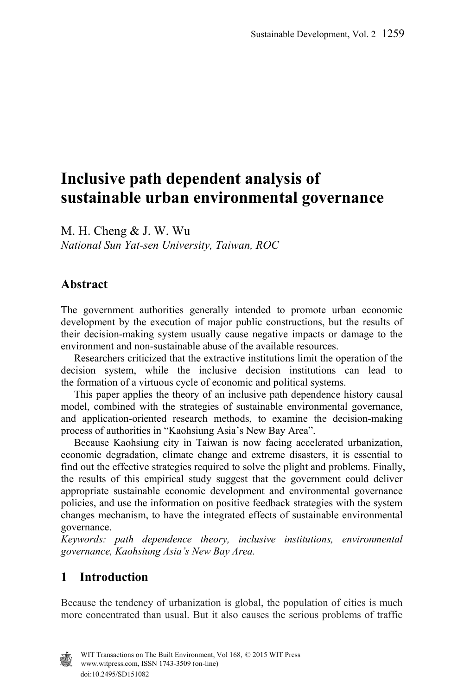# **Inclusive path dependent analysis of sustainable urban environmental governance**

M. H. Cheng & J. W. Wu *National Sun Yat-sen University, Taiwan, ROC* 

# **Abstract**

The government authorities generally intended to promote urban economic development by the execution of major public constructions, but the results of their decision-making system usually cause negative impacts or damage to the environment and non-sustainable abuse of the available resources.

 Researchers criticized that the extractive institutions limit the operation of the decision system, while the inclusive decision institutions can lead to the formation of a virtuous cycle of economic and political systems.

 This paper applies the theory of an inclusive path dependence history causal model, combined with the strategies of sustainable environmental governance, and application-oriented research methods, to examine the decision-making process of authorities in "Kaohsiung Asia's New Bay Area".

 Because Kaohsiung city in Taiwan is now facing accelerated urbanization, economic degradation, climate change and extreme disasters, it is essential to find out the effective strategies required to solve the plight and problems. Finally, the results of this empirical study suggest that the government could deliver appropriate sustainable economic development and environmental governance policies, and use the information on positive feedback strategies with the system changes mechanism, to have the integrated effects of sustainable environmental governance.

*Keywords: path dependence theory, inclusive institutions, environmental governance, Kaohsiung Asia's New Bay Area.* 

# **1 Introduction**

Because the tendency of urbanization is global, the population of cities is much more concentrated than usual. But it also causes the serious problems of traffic

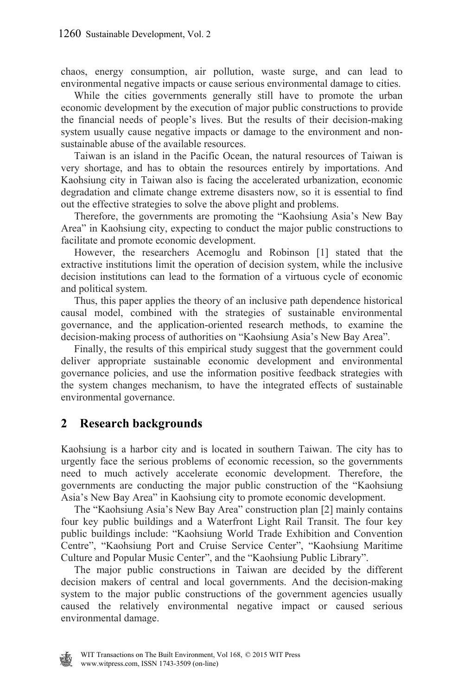chaos, energy consumption, air pollution, waste surge, and can lead to environmental negative impacts or cause serious environmental damage to cities.

 While the cities governments generally still have to promote the urban economic development by the execution of major public constructions to provide the financial needs of people's lives. But the results of their decision-making system usually cause negative impacts or damage to the environment and nonsustainable abuse of the available resources.

 Taiwan is an island in the Pacific Ocean, the natural resources of Taiwan is very shortage, and has to obtain the resources entirely by importations. And Kaohsiung city in Taiwan also is facing the accelerated urbanization, economic degradation and climate change extreme disasters now, so it is essential to find out the effective strategies to solve the above plight and problems.

 Therefore, the governments are promoting the "Kaohsiung Asia's New Bay Area" in Kaohsiung city, expecting to conduct the major public constructions to facilitate and promote economic development.

 However, the researchers Acemoglu and Robinson [1] stated that the extractive institutions limit the operation of decision system, while the inclusive decision institutions can lead to the formation of a virtuous cycle of economic and political system.

 Thus, this paper applies the theory of an inclusive path dependence historical causal model, combined with the strategies of sustainable environmental governance, and the application-oriented research methods, to examine the decision-making process of authorities on "Kaohsiung Asia's New Bay Area".

 Finally, the results of this empirical study suggest that the government could deliver appropriate sustainable economic development and environmental governance policies, and use the information positive feedback strategies with the system changes mechanism, to have the integrated effects of sustainable environmental governance.

# **2 Research backgrounds**

Kaohsiung is a harbor city and is located in southern Taiwan. The city has to urgently face the serious problems of economic recession, so the governments need to much actively accelerate economic development. Therefore, the governments are conducting the major public construction of the "Kaohsiung Asia's New Bay Area" in Kaohsiung city to promote economic development.

 The "Kaohsiung Asia's New Bay Area" construction plan [2] mainly contains four key public buildings and a Waterfront Light Rail Transit. The four key public buildings include: "Kaohsiung World Trade Exhibition and Convention Centre", "Kaohsiung Port and Cruise Service Center", "Kaohsiung Maritime Culture and Popular Music Center", and the "Kaohsiung Public Library".

 The major public constructions in Taiwan are decided by the different decision makers of central and local governments. And the decision-making system to the major public constructions of the government agencies usually caused the relatively environmental negative impact or caused serious environmental damage.

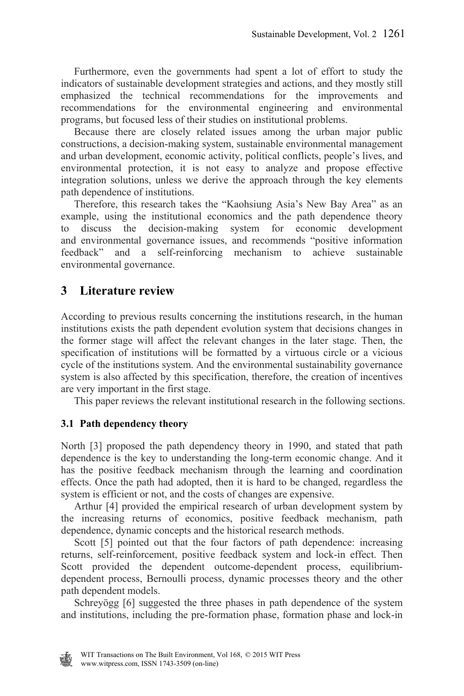Furthermore, even the governments had spent a lot of effort to study the indicators of sustainable development strategies and actions, and they mostly still emphasized the technical recommendations for the improvements and recommendations for the environmental engineering and environmental programs, but focused less of their studies on institutional problems.

 Because there are closely related issues among the urban major public constructions, a decision-making system, sustainable environmental management and urban development, economic activity, political conflicts, people's lives, and environmental protection, it is not easy to analyze and propose effective integration solutions, unless we derive the approach through the key elements path dependence of institutions.

 Therefore, this research takes the "Kaohsiung Asia's New Bay Area" as an example, using the institutional economics and the path dependence theory to discuss the decision-making system for economic development and environmental governance issues, and recommends "positive information feedback" and a self-reinforcing mechanism to achieve sustainable environmental governance.

# **3 Literature review**

According to previous results concerning the institutions research, in the human institutions exists the path dependent evolution system that decisions changes in the former stage will affect the relevant changes in the later stage. Then, the specification of institutions will be formatted by a virtuous circle or a vicious cycle of the institutions system. And the environmental sustainability governance system is also affected by this specification, therefore, the creation of incentives are very important in the first stage.

This paper reviews the relevant institutional research in the following sections.

### **3.1 Path dependency theory**

North [3] proposed the path dependency theory in 1990, and stated that path dependence is the key to understanding the long-term economic change. And it has the positive feedback mechanism through the learning and coordination effects. Once the path had adopted, then it is hard to be changed, regardless the system is efficient or not, and the costs of changes are expensive.

 Arthur [4] provided the empirical research of urban development system by the increasing returns of economics, positive feedback mechanism, path dependence, dynamic concepts and the historical research methods.

Scott [5] pointed out that the four factors of path dependence: increasing returns, self-reinforcement, positive feedback system and lock-in effect. Then Scott provided the dependent outcome-dependent process, equilibriumdependent process, Bernoulli process, dynamic processes theory and the other path dependent models.

 Schreyögg [6] suggested the three phases in path dependence of the system and institutions, including the pre-formation phase, formation phase and lock-in

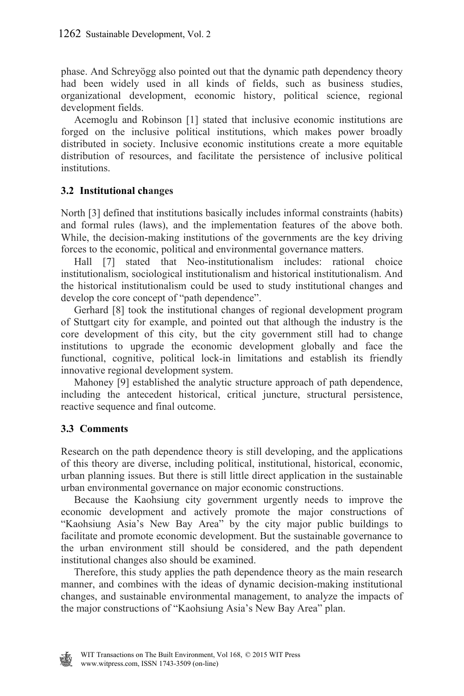phase. And Schreyögg also pointed out that the dynamic path dependency theory had been widely used in all kinds of fields, such as business studies, organizational development, economic history, political science, regional development fields.

 Acemoglu and Robinson [1] stated that inclusive economic institutions are forged on the inclusive political institutions, which makes power broadly distributed in society. Inclusive economic institutions create a more equitable distribution of resources, and facilitate the persistence of inclusive political institutions.

### **3.2 Institutional changes**

North [3] defined that institutions basically includes informal constraints (habits) and formal rules (laws), and the implementation features of the above both. While, the decision-making institutions of the governments are the key driving forces to the economic, political and environmental governance matters.

 Hall [7] stated that Neo-institutionalism includes: rational choice institutionalism, sociological institutionalism and historical institutionalism. And the historical institutionalism could be used to study institutional changes and develop the core concept of "path dependence".

 Gerhard [8] took the institutional changes of regional development program of Stuttgart city for example, and pointed out that although the industry is the core development of this city, but the city government still had to change institutions to upgrade the economic development globally and face the functional, cognitive, political lock-in limitations and establish its friendly innovative regional development system.

 Mahoney [9] established the analytic structure approach of path dependence, including the antecedent historical, critical juncture, structural persistence, reactive sequence and final outcome.

# **3.3 Comments**

Research on the path dependence theory is still developing, and the applications of this theory are diverse, including political, institutional, historical, economic, urban planning issues. But there is still little direct application in the sustainable urban environmental governance on major economic constructions.

 Because the Kaohsiung city government urgently needs to improve the economic development and actively promote the major constructions of "Kaohsiung Asia's New Bay Area" by the city major public buildings to facilitate and promote economic development. But the sustainable governance to the urban environment still should be considered, and the path dependent institutional changes also should be examined.

 Therefore, this study applies the path dependence theory as the main research manner, and combines with the ideas of dynamic decision-making institutional changes, and sustainable environmental management, to analyze the impacts of the major constructions of "Kaohsiung Asia's New Bay Area" plan.

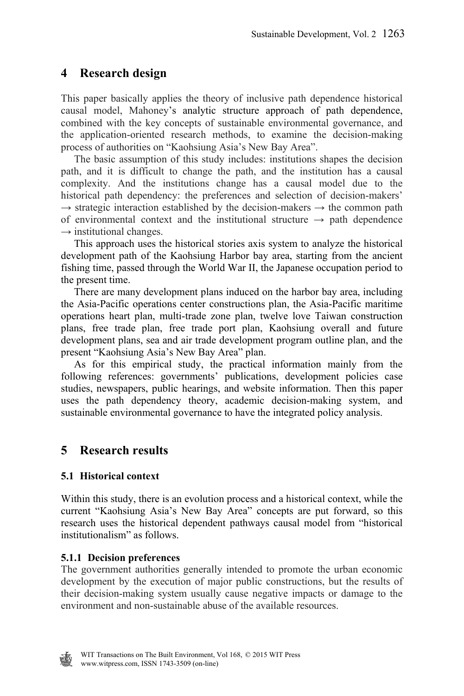# **4 Research design**

This paper basically applies the theory of inclusive path dependence historical causal model, Mahoney's analytic structure approach of path dependence, combined with the key concepts of sustainable environmental governance, and the application-oriented research methods, to examine the decision-making process of authorities on "Kaohsiung Asia's New Bay Area".

 The basic assumption of this study includes: institutions shapes the decision path, and it is difficult to change the path, and the institution has a causal complexity. And the institutions change has a causal model due to the historical path dependency: the preferences and selection of decision-makers'  $\rightarrow$  strategic interaction established by the decision-makers  $\rightarrow$  the common path of environmental context and the institutional structure  $\rightarrow$  path dependence  $\rightarrow$  institutional changes.

 This approach uses the historical stories axis system to analyze the historical development path of the Kaohsiung Harbor bay area, starting from the ancient fishing time, passed through the World War II, the Japanese occupation period to the present time.

 There are many development plans induced on the harbor bay area, including the Asia-Pacific operations center constructions plan, the Asia-Pacific maritime operations heart plan, multi-trade zone plan, twelve love Taiwan construction plans, free trade plan, free trade port plan, Kaohsiung overall and future development plans, sea and air trade development program outline plan, and the present "Kaohsiung Asia's New Bay Area" plan.

 As for this empirical study, the practical information mainly from the following references: governments' publications, development policies case studies, newspapers, public hearings, and website information. Then this paper uses the path dependency theory, academic decision-making system, and sustainable environmental governance to have the integrated policy analysis.

# **5 Research results**

# **5.1 Historical context**

Within this study, there is an evolution process and a historical context, while the current "Kaohsiung Asia's New Bay Area" concepts are put forward, so this research uses the historical dependent pathways causal model from "historical institutionalism" as follows.

# **5.1.1 Decision preferences**

The government authorities generally intended to promote the urban economic development by the execution of major public constructions, but the results of their decision-making system usually cause negative impacts or damage to the environment and non-sustainable abuse of the available resources.

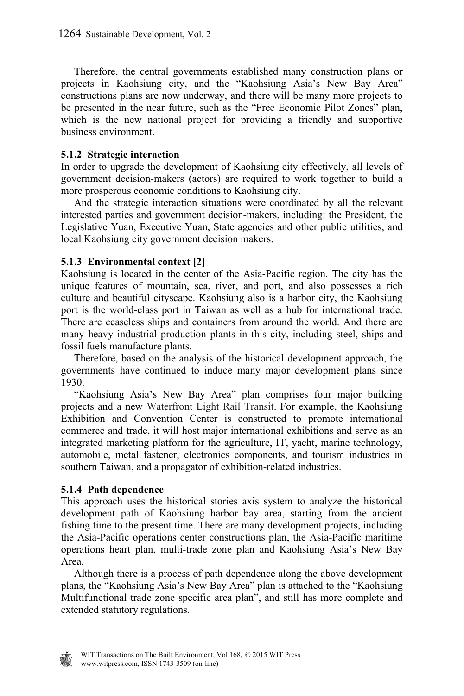Therefore, the central governments established many construction plans or projects in Kaohsiung city, and the "Kaohsiung Asia's New Bay Area" constructions plans are now underway, and there will be many more projects to be presented in the near future, such as the "Free Economic Pilot Zones" plan, which is the new national project for providing a friendly and supportive business environment.

#### **5.1.2 Strategic interaction**

In order to upgrade the development of Kaohsiung city effectively, all levels of government decision-makers (actors) are required to work together to build a more prosperous economic conditions to Kaohsiung city.

 And the strategic interaction situations were coordinated by all the relevant interested parties and government decision-makers, including: the President, the Legislative Yuan, Executive Yuan, State agencies and other public utilities, and local Kaohsiung city government decision makers.

#### **5.1.3 Environmental context [2]**

Kaohsiung is located in the center of the Asia-Pacific region. The city has the unique features of mountain, sea, river, and port, and also possesses a rich culture and beautiful cityscape. Kaohsiung also is a harbor city, the Kaohsiung port is the world-class port in Taiwan as well as a hub for international trade. There are ceaseless ships and containers from around the world. And there are many heavy industrial production plants in this city, including steel, ships and fossil fuels manufacture plants.

 Therefore, based on the analysis of the historical development approach, the governments have continued to induce many major development plans since 1930.

 "Kaohsiung Asia's New Bay Area" plan comprises four major building projects and a new Waterfront Light Rail Transit. For example, the Kaohsiung Exhibition and Convention Center is constructed to promote international commerce and trade, it will host major international exhibitions and serve as an integrated marketing platform for the agriculture, IT, yacht, marine technology, automobile, metal fastener, electronics components, and tourism industries in southern Taiwan, and a propagator of exhibition-related industries.

#### **5.1.4 Path dependence**

This approach uses the historical stories axis system to analyze the historical development path of Kaohsiung harbor bay area, starting from the ancient fishing time to the present time. There are many development projects, including the Asia-Pacific operations center constructions plan, the Asia-Pacific maritime operations heart plan, multi-trade zone plan and Kaohsiung Asia's New Bay Area.

 Although there is a process of path dependence along the above development plans, the "Kaohsiung Asia's New Bay Area" plan is attached to the "Kaohsiung Multifunctional trade zone specific area plan", and still has more complete and extended statutory regulations.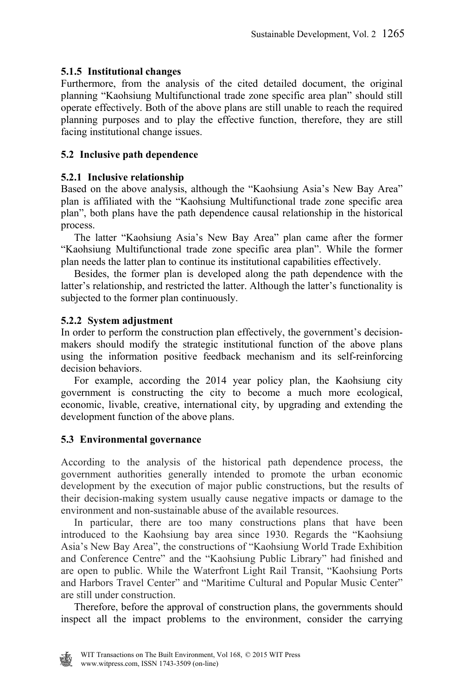### **5.1.5 Institutional changes**

Furthermore, from the analysis of the cited detailed document, the original planning "Kaohsiung Multifunctional trade zone specific area plan" should still operate effectively. Both of the above plans are still unable to reach the required planning purposes and to play the effective function, therefore, they are still facing institutional change issues.

# **5.2 Inclusive path dependence**

### **5.2.1 Inclusive relationship**

Based on the above analysis, although the "Kaohsiung Asia's New Bay Area" plan is affiliated with the "Kaohsiung Multifunctional trade zone specific area plan", both plans have the path dependence causal relationship in the historical process.

 The latter "Kaohsiung Asia's New Bay Area" plan came after the former "Kaohsiung Multifunctional trade zone specific area plan". While the former plan needs the latter plan to continue its institutional capabilities effectively.

 Besides, the former plan is developed along the path dependence with the latter's relationship, and restricted the latter. Although the latter's functionality is subjected to the former plan continuously.

### **5.2.2 System adjustment**

In order to perform the construction plan effectively, the government's decisionmakers should modify the strategic institutional function of the above plans using the information positive feedback mechanism and its self-reinforcing decision behaviors.

 For example, according the 2014 year policy plan, the Kaohsiung city government is constructing the city to become a much more ecological, economic, livable, creative, international city, by upgrading and extending the development function of the above plans.

# **5.3 Environmental governance**

According to the analysis of the historical path dependence process, the government authorities generally intended to promote the urban economic development by the execution of major public constructions, but the results of their decision-making system usually cause negative impacts or damage to the environment and non-sustainable abuse of the available resources.

 In particular, there are too many constructions plans that have been introduced to the Kaohsiung bay area since 1930. Regards the "Kaohsiung Asia's New Bay Area", the constructions of "Kaohsiung World Trade Exhibition and Conference Centre" and the "Kaohsiung Public Library" had finished and are open to public. While the Waterfront Light Rail Transit, "Kaohsiung Ports and Harbors Travel Center" and "Maritime Cultural and Popular Music Center" are still under construction.

 Therefore, before the approval of construction plans, the governments should inspect all the impact problems to the environment, consider the carrying

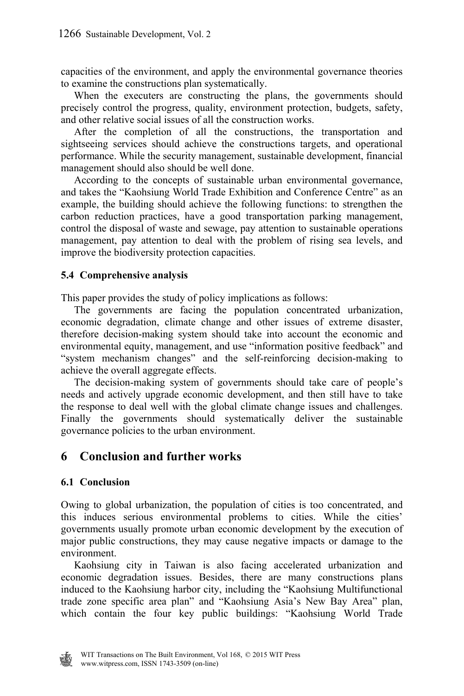capacities of the environment, and apply the environmental governance theories to examine the constructions plan systematically.

 When the executers are constructing the plans, the governments should precisely control the progress, quality, environment protection, budgets, safety, and other relative social issues of all the construction works.

 After the completion of all the constructions, the transportation and sightseeing services should achieve the constructions targets, and operational performance. While the security management, sustainable development, financial management should also should be well done.

 According to the concepts of sustainable urban environmental governance, and takes the "Kaohsiung World Trade Exhibition and Conference Centre" as an example, the building should achieve the following functions: to strengthen the carbon reduction practices, have a good transportation parking management, control the disposal of waste and sewage, pay attention to sustainable operations management, pay attention to deal with the problem of rising sea levels, and improve the biodiversity protection capacities.

#### **5.4 Comprehensive analysis**

This paper provides the study of policy implications as follows:

 The governments are facing the population concentrated urbanization, economic degradation, climate change and other issues of extreme disaster, therefore decision-making system should take into account the economic and environmental equity, management, and use "information positive feedback" and "system mechanism changes" and the self-reinforcing decision-making to achieve the overall aggregate effects.

 The decision-making system of governments should take care of people's needs and actively upgrade economic development, and then still have to take the response to deal well with the global climate change issues and challenges. Finally the governments should systematically deliver the sustainable governance policies to the urban environment.

# **6 Conclusion and further works**

#### **6.1 Conclusion**

Owing to global urbanization, the population of cities is too concentrated, and this induces serious environmental problems to cities. While the cities' governments usually promote urban economic development by the execution of major public constructions, they may cause negative impacts or damage to the environment.

 Kaohsiung city in Taiwan is also facing accelerated urbanization and economic degradation issues. Besides, there are many constructions plans induced to the Kaohsiung harbor city, including the "Kaohsiung Multifunctional trade zone specific area plan" and "Kaohsiung Asia's New Bay Area" plan, which contain the four key public buildings: "Kaohsiung World Trade

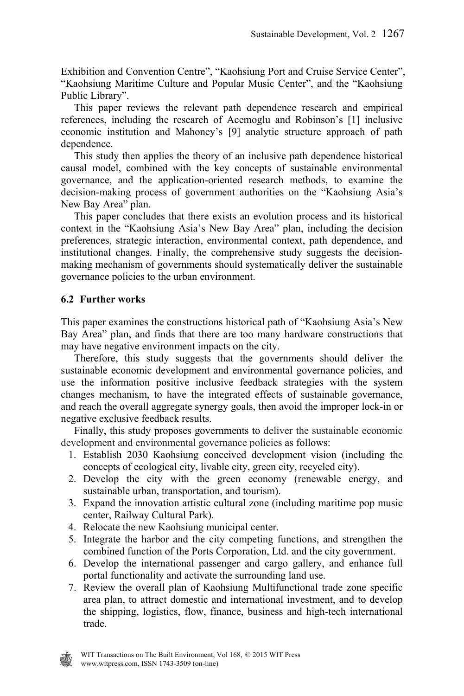Exhibition and Convention Centre", "Kaohsiung Port and Cruise Service Center", "Kaohsiung Maritime Culture and Popular Music Center", and the "Kaohsiung Public Library".

 This paper reviews the relevant path dependence research and empirical references, including the research of Acemoglu and Robinson's [1] inclusive economic institution and Mahoney's [9] analytic structure approach of path dependence.

 This study then applies the theory of an inclusive path dependence historical causal model, combined with the key concepts of sustainable environmental governance, and the application-oriented research methods, to examine the decision-making process of government authorities on the "Kaohsiung Asia's New Bay Area" plan.

 This paper concludes that there exists an evolution process and its historical context in the "Kaohsiung Asia's New Bay Area" plan, including the decision preferences, strategic interaction, environmental context, path dependence, and institutional changes. Finally, the comprehensive study suggests the decisionmaking mechanism of governments should systematically deliver the sustainable governance policies to the urban environment.

#### **6.2 Further works**

This paper examines the constructions historical path of "Kaohsiung Asia's New Bay Area" plan, and finds that there are too many hardware constructions that may have negative environment impacts on the city.

 Therefore, this study suggests that the governments should deliver the sustainable economic development and environmental governance policies, and use the information positive inclusive feedback strategies with the system changes mechanism, to have the integrated effects of sustainable governance, and reach the overall aggregate synergy goals, then avoid the improper lock-in or negative exclusive feedback results.

 Finally, this study proposes governments to deliver the sustainable economic development and environmental governance policies as follows:

- 1. Establish 2030 Kaohsiung conceived development vision (including the concepts of ecological city, livable city, green city, recycled city).
- 2. Develop the city with the green economy (renewable energy, and sustainable urban, transportation, and tourism).
- 3. Expand the innovation artistic cultural zone (including maritime pop music center, Railway Cultural Park).
- 4. Relocate the new Kaohsiung municipal center.
- 5. Integrate the harbor and the city competing functions, and strengthen the combined function of the Ports Corporation, Ltd. and the city government.
- 6. Develop the international passenger and cargo gallery, and enhance full portal functionality and activate the surrounding land use.
- 7. Review the overall plan of Kaohsiung Multifunctional trade zone specific area plan, to attract domestic and international investment, and to develop the shipping, logistics, flow, finance, business and high-tech international trade.